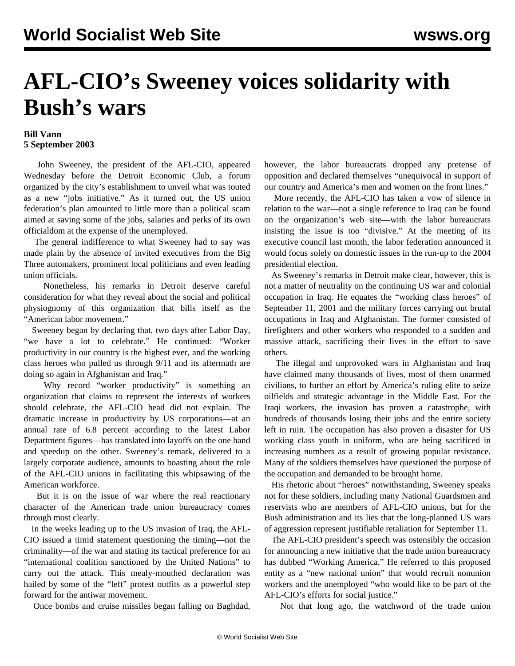## **AFL-CIO's Sweeney voices solidarity with Bush's wars**

## **Bill Vann 5 September 2003**

 John Sweeney, the president of the AFL-CIO, appeared Wednesday before the Detroit Economic Club, a forum organized by the city's establishment to unveil what was touted as a new "jobs initiative." As it turned out, the US union federation's plan amounted to little more than a political scam aimed at saving some of the jobs, salaries and perks of its own officialdom at the expense of the unemployed.

 The general indifference to what Sweeney had to say was made plain by the absence of invited executives from the Big Three automakers, prominent local politicians and even leading union officials.

 Nonetheless, his remarks in Detroit deserve careful consideration for what they reveal about the social and political physiognomy of this organization that bills itself as the "American labor movement."

 Sweeney began by declaring that, two days after Labor Day, "we have a lot to celebrate." He continued: "Worker productivity in our country is the highest ever, and the working class heroes who pulled us through 9/11 and its aftermath are doing so again in Afghanistan and Iraq."

 Why record "worker productivity" is something an organization that claims to represent the interests of workers should celebrate, the AFL-CIO head did not explain. The dramatic increase in productivity by US corporations—at an annual rate of 6.8 percent according to the latest Labor Department figures—has translated into layoffs on the one hand and speedup on the other. Sweeney's remark, delivered to a largely corporate audience, amounts to boasting about the role of the AFL-CIO unions in facilitating this whipsawing of the American workforce.

 But it is on the issue of war where the real reactionary character of the American trade union bureaucracy comes through most clearly.

 In the weeks leading up to the US invasion of Iraq, the AFL-CIO issued a timid statement questioning the timing—not the criminality—of the war and stating its tactical preference for an "international coalition sanctioned by the United Nations" to carry out the attack. This mealy-mouthed declaration was hailed by some of the "left" protest outfits as a powerful step forward for the antiwar movement.

Once bombs and cruise missiles began falling on Baghdad,

however, the labor bureaucrats dropped any pretense of opposition and declared themselves "unequivocal in support of our country and America's men and women on the front lines."

 More recently, the AFL-CIO has taken a vow of silence in relation to the war—not a single reference to Iraq can be found on the organization's web site—with the labor bureaucrats insisting the issue is too "divisive." At the meeting of its executive council last month, the labor federation announced it would focus solely on domestic issues in the run-up to the 2004 presidential election.

 As Sweeney's remarks in Detroit make clear, however, this is not a matter of neutrality on the continuing US war and colonial occupation in Iraq. He equates the "working class heroes" of September 11, 2001 and the military forces carrying out brutal occupations in Iraq and Afghanistan. The former consisted of firefighters and other workers who responded to a sudden and massive attack, sacrificing their lives in the effort to save others.

 The illegal and unprovoked wars in Afghanistan and Iraq have claimed many thousands of lives, most of them unarmed civilians, to further an effort by America's ruling elite to seize oilfields and strategic advantage in the Middle East. For the Iraqi workers, the invasion has proven a catastrophe, with hundreds of thousands losing their jobs and the entire society left in ruin. The occupation has also proven a disaster for US working class youth in uniform, who are being sacrificed in increasing numbers as a result of growing popular resistance. Many of the soldiers themselves have questioned the purpose of the occupation and demanded to be brought home.

 His rhetoric about "heroes" notwithstanding, Sweeney speaks not for these soldiers, including many National Guardsmen and reservists who are members of AFL-CIO unions, but for the Bush administration and its lies that the long-planned US wars of aggression represent justifiable retaliation for September 11.

 The AFL-CIO president's speech was ostensibly the occasion for announcing a new initiative that the trade union bureaucracy has dubbed "Working America." He referred to this proposed entity as a "new national union" that would recruit nonunion workers and the unemployed "who would like to be part of the AFL-CIO's efforts for social justice."

Not that long ago, the watchword of the trade union